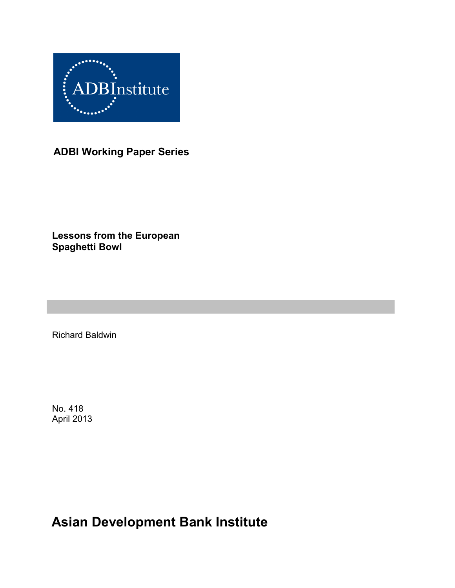

**ADBI Working Paper Series**

**Lessons from the European Spaghetti Bowl**

Richard Baldwin

No. 418 April 2013

**Asian Development Bank Institute**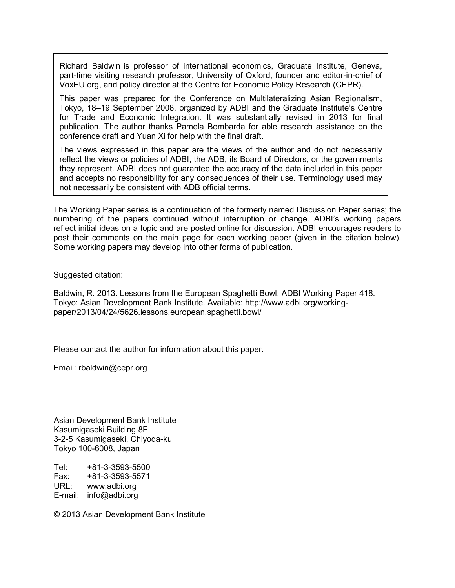Richard Baldwin is professor of international economics, Graduate Institute, Geneva, part-time visiting research professor, University of Oxford, founder and editor-in-chief of [VoxEU.org,](http://voxeu.org/) and policy director at the Centre for Economic Policy Research (CEPR).

This paper was prepared for the Conference on Multilateralizing Asian Regionalism, Tokyo, 18–19 September 2008, organized by ADBI and the Graduate Institute's Centre for Trade and Economic Integration. It was substantially revised in 2013 for final publication. The author thanks Pamela Bombarda for able research assistance on the conference draft and Yuan Xi for help with the final draft.

The views expressed in this paper are the views of the author and do not necessarily reflect the views or policies of ADBI, the ADB, its Board of Directors, or the governments they represent. ADBI does not guarantee the accuracy of the data included in this paper and accepts no responsibility for any consequences of their use. Terminology used may not necessarily be consistent with ADB official terms.

The Working Paper series is a continuation of the formerly named Discussion Paper series; the numbering of the papers continued without interruption or change. ADBI's working papers reflect initial ideas on a topic and are posted online for discussion. ADBI encourages readers to post their comments on the main page for each working paper (given in the citation below). Some working papers may develop into other forms of publication.

Suggested citation:

Baldwin, R. 2013. Lessons from the European Spaghetti Bowl. ADBI Working Paper 418. Tokyo: Asian Development Bank Institute. Available: http://www.adbi.org/workingpaper/2013/04/24/5626.lessons.european.spaghetti.bowl/

Please contact the author for information about this paper.

Email: rbaldwin@cepr.org

Asian Development Bank Institute Kasumigaseki Building 8F 3-2-5 Kasumigaseki, Chiyoda-ku Tokyo 100-6008, Japan

Tel: +81-3-3593-5500 Fax: +81-3-3593-5571 URL: www.adbi.org E-mail: info@adbi.org

© 2013 Asian Development Bank Institute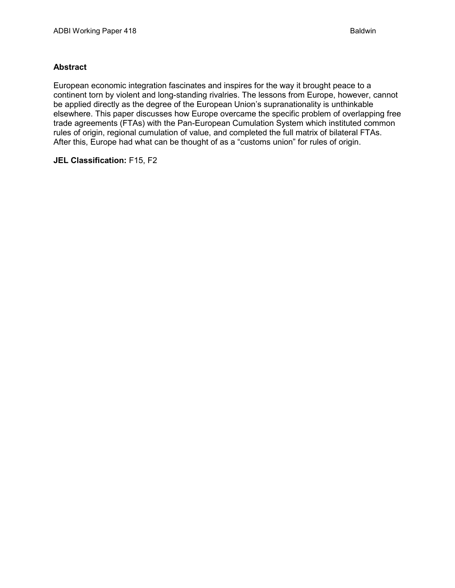#### **Abstract**

European economic integration fascinates and inspires for the way it brought peace to a continent torn by violent and long-standing rivalries. The lessons from Europe, however, cannot be applied directly as the degree of the European Union's supranationality is unthinkable elsewhere. This paper discusses how Europe overcame the specific problem of overlapping free trade agreements (FTAs) with the Pan-European Cumulation System which instituted common rules of origin, regional cumulation of value, and completed the full matrix of bilateral FTAs. After this, Europe had what can be thought of as a "customs union" for rules of origin.

#### **JEL Classification:** F15, F2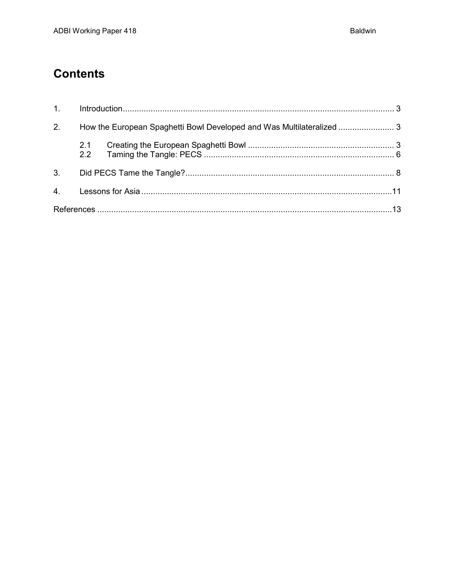# **Contents**

| 1 <sup>1</sup> |                                                                       |  |  |  |
|----------------|-----------------------------------------------------------------------|--|--|--|
| 2.             | How the European Spaghetti Bowl Developed and Was Multilateralized  3 |  |  |  |
|                | 2.1<br>2.2                                                            |  |  |  |
| 3 <sub>1</sub> |                                                                       |  |  |  |
| 4 <sub>1</sub> |                                                                       |  |  |  |
|                |                                                                       |  |  |  |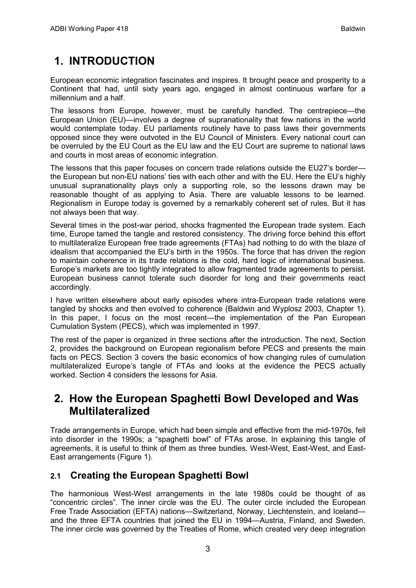# <span id="page-4-0"></span>**1. INTRODUCTION**

European economic integration fascinates and inspires. It brought peace and prosperity to a Continent that had, until sixty years ago, engaged in almost continuous warfare for a millennium and a half.

The lessons from Europe, however, must be carefully handled. The centrepiece—the European Union (EU)—involves a degree of supranationality that few nations in the world would contemplate today. EU parliaments routinely have to pass laws their governments opposed since they were outvoted in the EU Council of Ministers. Every national court can be overruled by the EU Court as the EU law and the EU Court are supreme to national laws and courts in most areas of economic integration.

The lessons that this paper focuses on concern trade relations outside the EU27's border the European but non-EU nations' ties with each other and with the EU. Here the EU's highly unusual supranationality plays only a supporting role, so the lessons drawn may be reasonable thought of as applying to Asia. There are valuable lessons to be learned. Regionalism in Europe today is governed by a remarkably coherent set of rules. But it has not always been that way.

Several times in the post-war period, shocks fragmented the European trade system. Each time, Europe tamed the tangle and restored consistency. The driving force behind this effort to multilateralize European free trade agreements (FTAs) had nothing to do with the blaze of idealism that accompanied the EU's birth in the 1950s. The force that has driven the region to maintain coherence in its trade relations is the cold, hard logic of international business. Europe's markets are too tightly integrated to allow fragmented trade agreements to persist. European business cannot tolerate such disorder for long and their governments react accordingly.

I have written elsewhere about early episodes where intra-European trade relations were tangled by shocks and then evolved to coherence (Baldwin and Wyplosz 2003, Chapter 1). In this paper, I focus on the most recent—the implementation of the Pan European Cumulation System (PECS), which was implemented in 1997.

<span id="page-4-1"></span>The rest of the paper is organized in three sections after the introduction. The next, Section 2, provides the background on European regionalism before PECS and presents the main facts on PECS. Section 3 covers the basic economics of how changing rules of cumulation multilateralized Europe's tangle of FTAs and looks at the evidence the PECS actually worked. Section 4 considers the lessons for Asia.

## **2. How the European Spaghetti Bowl Developed and Was Multilateralized**

<span id="page-4-2"></span>Trade arrangements in Europe, which had been simple and effective from the mid-1970s, fell into disorder in the 1990s; a "spaghetti bowl" of FTAs arose. In explaining this tangle of agreements, it is useful to think of them as three bundles. West-West, East-West, and East-East arrangements (Figure 1).

## **2.1 Creating the European Spaghetti Bowl**

The harmonious West-West arrangements in the late 1980s could be thought of as "concentric circles". The inner circle was the EU. The outer circle included the European Free Trade Association (EFTA) nations—Switzerland, Norway, Liechtenstein, and Iceland and the three EFTA countries that joined the EU in 1994—Austria, Finland, and Sweden. The inner circle was governed by the Treaties of Rome, which created very deep integration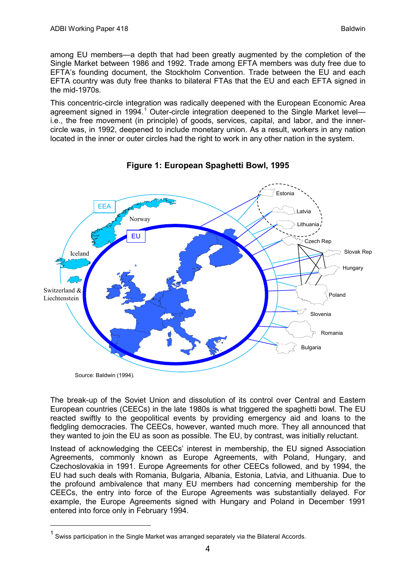among EU members—a depth that had been greatly augmented by the completion of the Single Market between 1986 and 1992. Trade among EFTA members was duty free due to EFTA's founding document, the Stockholm Convention. Trade between the EU and each EFTA country was duty free thanks to bilateral FTAs that the EU and each EFTA signed in the mid-1970s.

This concentric-circle integration was radically deepened with the European Economic Area agreement signed in [1](#page-5-0)994.<sup>1</sup> Outer-circle integration deepened to the Single Market leveli.e., the free movement (in principle) of goods, services, capital, and labor, and the innercircle was, in 1992, deepened to include monetary union. As a result, workers in any nation located in the inner or outer circles had the right to work in any other nation in the system.



**Figure 1: European Spaghetti Bowl, 1995**

The break-up of the Soviet Union and dissolution of its control over Central and Eastern European countries (CEECs) in the late 1980s is what triggered the spaghetti bowl. The EU reacted swiftly to the geopolitical events by providing emergency aid and loans to the fledgling democracies. The CEECs, however, wanted much more. They all announced that they wanted to join the EU as soon as possible. The EU, by contrast, was initially reluctant.

Instead of acknowledging the CEECs' interest in membership, the EU signed Association Agreements, commonly known as Europe Agreements, with Poland, Hungary, and Czechoslovakia in 1991. Europe Agreements for other CEECs followed, and by 1994, the EU had such deals with Romania, Bulgaria, Albania, Estonia, Latvia, and Lithuania. Due to the profound ambivalence that many EU members had concerning membership for the CEECs, the entry into force of the Europe Agreements was substantially delayed. For example, the Europe Agreements signed with Hungary and Poland in December 1991 entered into force only in February 1994.

<span id="page-5-0"></span> $1$  Swiss participation in the Single Market was arranged separately via the Bilateral Accords.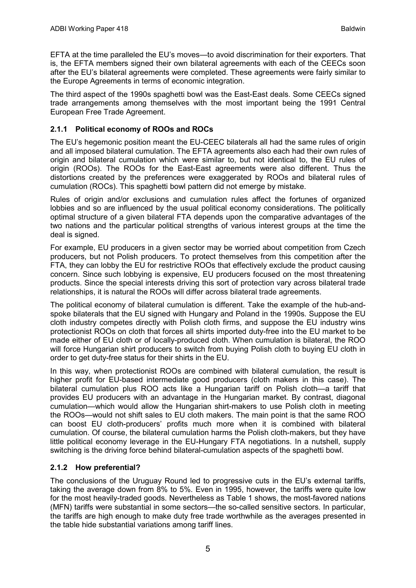EFTA at the time paralleled the EU's moves—to avoid discrimination for their exporters. That is, the EFTA members signed their own bilateral agreements with each of the CEECs soon after the EU's bilateral agreements were completed. These agreements were fairly similar to the Europe Agreements in terms of economic integration.

The third aspect of the 1990s spaghetti bowl was the East-East deals. Some CEECs signed trade arrangements among themselves with the most important being the 1991 Central European Free Trade Agreement.

### **2.1.1 Political economy of ROOs and ROCs**

The EU's hegemonic position meant the EU-CEEC bilaterals all had the same rules of origin and all imposed bilateral cumulation. The EFTA agreements also each had their own rules of origin and bilateral cumulation which were similar to, but not identical to, the EU rules of origin (ROOs). The ROOs for the East-East agreements were also different. Thus the distortions created by the preferences were exaggerated by ROOs and bilateral rules of cumulation (ROCs). This spaghetti bowl pattern did not emerge by mistake.

Rules of origin and/or exclusions and cumulation rules affect the fortunes of organized lobbies and so are influenced by the usual political economy considerations. The politically optimal structure of a given bilateral FTA depends upon the comparative advantages of the two nations and the particular political strengths of various interest groups at the time the deal is signed.

For example, EU producers in a given sector may be worried about competition from Czech producers, but not Polish producers. To protect themselves from this competition after the FTA, they can lobby the EU for restrictive ROOs that effectively exclude the product causing concern. Since such lobbying is expensive, EU producers focused on the most threatening products. Since the special interests driving this sort of protection vary across bilateral trade relationships, it is natural the ROOs will differ across bilateral trade agreements.

The political economy of bilateral cumulation is different. Take the example of the hub-andspoke bilaterals that the EU signed with Hungary and Poland in the 1990s. Suppose the EU cloth industry competes directly with Polish cloth firms, and suppose the EU industry wins protectionist ROOs on cloth that forces all shirts imported duty-free into the EU market to be made either of EU cloth or of locally-produced cloth. When cumulation is bilateral, the ROO will force Hungarian shirt producers to switch from buying Polish cloth to buying EU cloth in order to get duty-free status for their shirts in the EU.

In this way, when protectionist ROOs are combined with bilateral cumulation, the result is higher profit for EU-based intermediate good producers (cloth makers in this case). The bilateral cumulation plus ROO acts like a Hungarian tariff on Polish cloth—a tariff that provides EU producers with an advantage in the Hungarian market. By contrast, diagonal cumulation—which would allow the Hungarian shirt-makers to use Polish cloth in meeting the ROOs—would not shift sales to EU cloth makers. The main point is that the same ROO can boost EU cloth-producers' profits much more when it is combined with bilateral cumulation. Of course, the bilateral cumulation harms the Polish cloth-makers, but they have little political economy leverage in the EU-Hungary FTA negotiations. In a nutshell, supply switching is the driving force behind bilateral-cumulation aspects of the spaghetti bowl.

### **2.1.2 How preferential?**

The conclusions of the Uruguay Round led to progressive cuts in the EU's external tariffs, taking the average down from 8% to 5%. Even in 1995, however, the tariffs were quite low for the most heavily-traded goods. Nevertheless as Table 1 shows, the most-favored nations (MFN) tariffs were substantial in some sectors—the so-called sensitive sectors. In particular, the tariffs are high enough to make duty free trade worthwhile as the averages presented in the table hide substantial variations among tariff lines.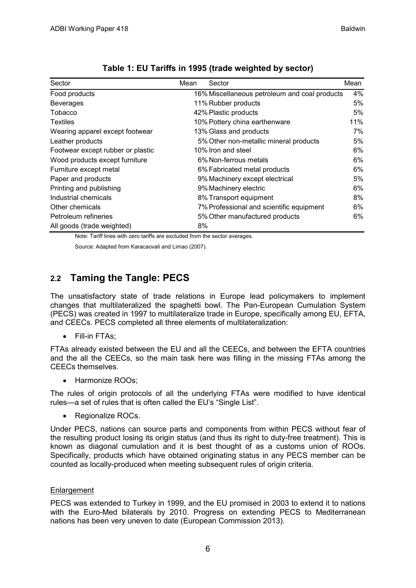| Sector                            | Mean | Sector                                        | Mean |
|-----------------------------------|------|-----------------------------------------------|------|
| Food products                     |      | 16% Miscellaneous petroleum and coal products | 4%   |
| <b>Beverages</b>                  |      | 11% Rubber products                           | 5%   |
| Tobacco                           |      | 42% Plastic products                          | 5%   |
| <b>Textiles</b>                   |      | 10% Pottery china earthenware                 | 11%  |
| Wearing apparel except footwear   |      | 13% Glass and products                        | 7%   |
| Leather products                  |      | 5% Other non-metallic mineral products        | 5%   |
| Footwear except rubber or plastic |      | 10% Iron and steel                            | 6%   |
| Wood products except furniture    |      | 6% Non-ferrous metals                         | 6%   |
| Furniture except metal            |      | 6% Fabricated metal products                  | 6%   |
| Paper and products                |      | 9% Machinery except electrical                | 5%   |
| Printing and publishing           |      | 9% Machinery electric                         | 6%   |
| Industrial chemicals              |      | 8% Transport equipment                        | 8%   |
| Other chemicals                   |      | 7% Professional and scientific equipment      | 6%   |
| Petroleum refineries              |      | 5% Other manufactured products                | 6%   |
| All goods (trade weighted)        | 8%   |                                               |      |

|  | Table 1: EU Tariffs in 1995 (trade weighted by sector) |
|--|--------------------------------------------------------|
|--|--------------------------------------------------------|

<span id="page-7-0"></span>Note: Tariff lines with zero tariffs are excluded from the sector averages.

Source: Adapted from Karacaovali and Limao (2007).

## **2.2 Taming the Tangle: PECS**

The unsatisfactory state of trade relations in Europe lead policymakers to implement changes that multilateralized the spaghetti bowl. The Pan-European Cumulation System (PECS) was created in 1997 to multilateralize trade in Europe, specifically among EU, EFTA, and CEECs. PECS completed all three elements of multilateralization:

• Fill-in FTAs;

FTAs already existed between the EU and all the CEECs, and between the EFTA countries and the all the CEECs, so the main task here was filling in the missing FTAs among the CEECs themselves.

• Harmonize ROOs;

The rules of origin protocols of all the underlying FTAs were modified to have identical rules—a set of rules that is often called the EU's "Single List".

Regionalize ROCs.

Under PECS, nations can source parts and components from within PECS without fear of the resulting product losing its origin status (and thus its right to duty-free treatment). This is known as diagonal cumulation and it is best thought of as a customs union of ROOs. Specifically, products which have obtained originating status in any PECS member can be counted as locally-produced when meeting subsequent rules of origin criteria.

#### Enlargement

PECS was extended to Turkey in 1999, and the EU promised in 2003 to extend it to nations with the Euro-Med bilaterals by 2010. Progress on extending PECS to Mediterranean nations has been very uneven to date (European Commission 2013).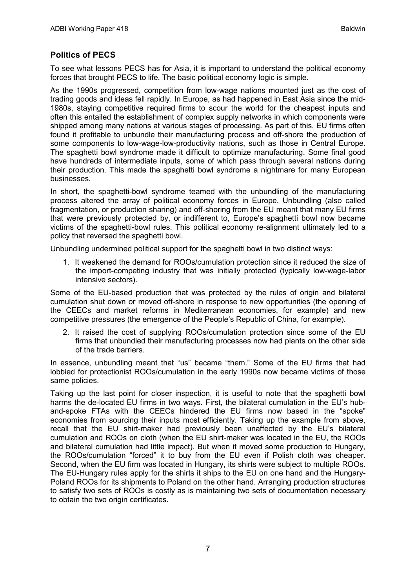### **Politics of PECS**

To see what lessons PECS has for Asia, it is important to understand the political economy forces that brought PECS to life. The basic political economy logic is simple.

As the 1990s progressed, competition from low-wage nations mounted just as the cost of trading goods and ideas fell rapidly. In Europe, as had happened in East Asia since the mid-1980s, staying competitive required firms to scour the world for the cheapest inputs and often this entailed the establishment of complex supply networks in which components were shipped among many nations at various stages of processing. As part of this, EU firms often found it profitable to unbundle their manufacturing process and off-shore the production of some components to low-wage-low-productivity nations, such as those in Central Europe. The spaghetti bowl syndrome made it difficult to optimize manufacturing. Some final good have hundreds of intermediate inputs, some of which pass through several nations during their production. This made the spaghetti bowl syndrome a nightmare for many European businesses.

In short, the spaghetti-bowl syndrome teamed with the unbundling of the manufacturing process altered the array of political economy forces in Europe. Unbundling (also called fragmentation, or production sharing) and off-shoring from the EU meant that many EU firms that were previously protected by, or indifferent to, Europe's spaghetti bowl now became victims of the spaghetti-bowl rules. This political economy re-alignment ultimately led to a policy that reversed the spaghetti bowl.

Unbundling undermined political support for the spaghetti bowl in two distinct ways:

1. It weakened the demand for ROOs/cumulation protection since it reduced the size of the import-competing industry that was initially protected (typically low-wage-labor intensive sectors).

Some of the EU-based production that was protected by the rules of origin and bilateral cumulation shut down or moved off-shore in response to new opportunities (the opening of the CEECs and market reforms in Mediterranean economies, for example) and new competitive pressures (the emergence of the People's Republic of China, for example).

2. It raised the cost of supplying ROOs/cumulation protection since some of the EU firms that unbundled their manufacturing processes now had plants on the other side of the trade barriers.

In essence, unbundling meant that "us" became "them." Some of the EU firms that had lobbied for protectionist ROOs/cumulation in the early 1990s now became victims of those same policies.

Taking up the last point for closer inspection, it is useful to note that the spaghetti bowl harms the de-located EU firms in two ways. First, the bilateral cumulation in the EU's huband-spoke FTAs with the CEECs hindered the EU firms now based in the "spoke" economies from sourcing their inputs most efficiently. Taking up the example from above, recall that the EU shirt-maker had previously been unaffected by the EU's bilateral cumulation and ROOs on cloth (when the EU shirt-maker was located in the EU, the ROOs and bilateral cumulation had little impact). But when it moved some production to Hungary, the ROOs/cumulation "forced" it to buy from the EU even if Polish cloth was cheaper. Second, when the EU firm was located in Hungary, its shirts were subject to multiple ROOs. The EU-Hungary rules apply for the shirts it ships to the EU on one hand and the Hungary-Poland ROOs for its shipments to Poland on the other hand. Arranging production structures to satisfy two sets of ROOs is costly as is maintaining two sets of documentation necessary to obtain the two origin certificates.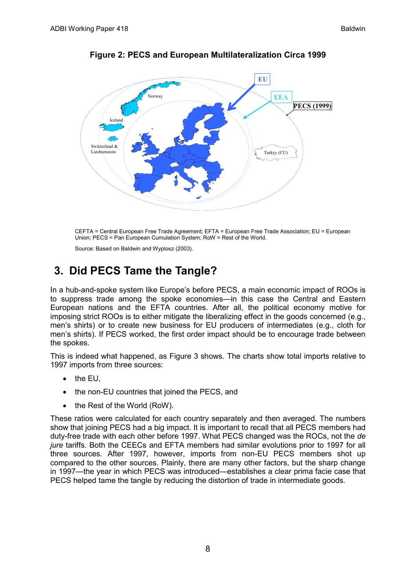

**Figure 2: PECS and European Multilateralization Circa 1999**

<span id="page-9-0"></span>CEFTA = Central European Free Trade Agreement; EFTA = European Free Trade Association; EU = European Union; PECS = Pan European Cumulation System; RoW = Rest of the World.

Source: Based on Baldwin and Wyplosz (2003).

## **3. Did PECS Tame the Tangle?**

In a hub-and-spoke system like Europe's before PECS, a main economic impact of ROOs is to suppress trade among the spoke economies—in this case the Central and Eastern European nations and the EFTA countries. After all, the political economy motive for imposing strict ROOs is to either mitigate the liberalizing effect in the goods concerned (e.g., men's shirts) or to create new business for EU producers of intermediates (e.g., cloth for men's shirts). If PECS worked, the first order impact should be to encourage trade between the spokes.

This is indeed what happened, as Figure 3 shows. The charts show total imports relative to 1997 imports from three sources:

- the EU,
- the non-EU countries that joined the PECS, and
- the Rest of the World (RoW).

These ratios were calculated for each country separately and then averaged. The numbers show that joining PECS had a big impact. It is important to recall that all PECS members had duty-free trade with each other before 1997. What PECS changed was the ROCs, not the *de jure* tariffs. Both the CEECs and EFTA members had similar evolutions prior to 1997 for all three sources. After 1997, however, imports from non-EU PECS members shot up compared to the other sources. Plainly, there are many other factors, but the sharp change in 1997—the year in which PECS was introduced—establishes a clear prima facie case that PECS helped tame the tangle by reducing the distortion of trade in intermediate goods.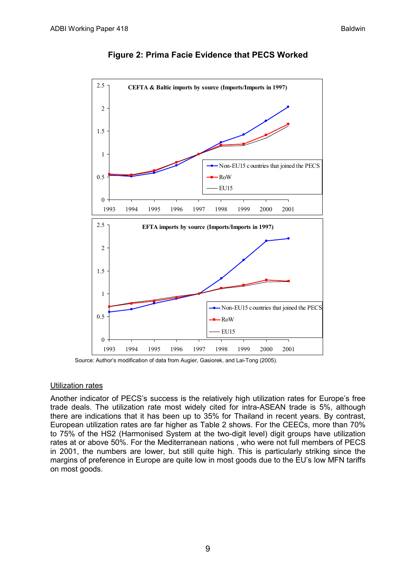

#### **Figure 2: Prima Facie Evidence that PECS Worked**

Source: Author's modification of data from Augier, Gasiorek, and Lai-Tong (2005).

#### Utilization rates

Another indicator of PECS's success is the relatively high utilization rates for Europe's free trade deals. The utilization rate most widely cited for intra-ASEAN trade is 5%, although there are indications that it has been up to 35% for Thailand in recent years. By contrast, European utilization rates are far higher as Table 2 shows. For the CEECs, more than 70% to 75% of the HS2 (Harmonised System at the two-digit level) digit groups have utilization rates at or above 50%. For the Mediterranean nations , who were not full members of PECS in 2001, the numbers are lower, but still quite high. This is particularly striking since the margins of preference in Europe are quite low in most goods due to the EU's low MFN tariffs on most goods.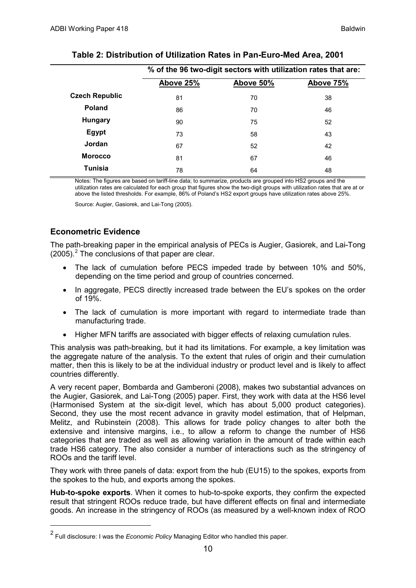|                       | % of the 96 two-digit sectors with utilization rates that are: |           |           |  |
|-----------------------|----------------------------------------------------------------|-----------|-----------|--|
|                       | Above 25%                                                      | Above 50% | Above 75% |  |
| <b>Czech Republic</b> | 81                                                             | 70        | 38        |  |
| <b>Poland</b>         | 86                                                             | 70        | 46        |  |
| <b>Hungary</b>        | 90                                                             | 75        | 52        |  |
| Egypt                 | 73                                                             | 58        | 43        |  |
| Jordan                | 67                                                             | 52        | 42        |  |
| <b>Morocco</b>        | 81                                                             | 67        | 46        |  |
| <b>Tunisia</b>        | 78                                                             | 64        | 48        |  |

### **Table 2: Distribution of Utilization Rates in Pan-Euro-Med Area, 2001**

Notes: The figures are based on tariff-line data; to summarize, products are grouped into HS2 groups and the utilization rates are calculated for each group that figures show the two-digit groups with utilization rates that are at or above the listed thresholds. For example, 86% of Poland's HS2 export groups have utilization rates above 25%.

Source: Augier, Gasiorek, and Lai-Tong (2005).

### **Econometric Evidence**

The path-breaking paper in the empirical analysis of PECs is Augier, Gasiorek, and Lai-Tong  $(2005).<sup>2</sup>$  $(2005).<sup>2</sup>$  $(2005).<sup>2</sup>$  The conclusions of that paper are clear.

- The lack of cumulation before PECS impeded trade by between 10% and 50%, depending on the time period and group of countries concerned.
- In aggregate, PECS directly increased trade between the EU's spokes on the order of 19%.
- The lack of cumulation is more important with regard to intermediate trade than manufacturing trade.
- Higher MFN tariffs are associated with bigger effects of relaxing cumulation rules.

This analysis was path-breaking, but it had its limitations. For example, a key limitation was the aggregate nature of the analysis. To the extent that rules of origin and their cumulation matter, then this is likely to be at the individual industry or product level and is likely to affect countries differently.

A very recent paper, Bombarda and Gamberoni (2008), makes two substantial advances on the Augier, Gasiorek, and Lai-Tong (2005) paper. First, they work with data at the HS6 level (Harmonised System at the six-digit level, which has about 5,000 product categories). Second, they use the most recent advance in gravity model estimation, that of Helpman, Melitz, and Rubinstein (2008). This allows for trade policy changes to alter both the extensive and intensive margins, i.e., to allow a reform to change the number of HS6 categories that are traded as well as allowing variation in the amount of trade within each trade HS6 category. The also consider a number of interactions such as the stringency of ROOs and the tariff level.

They work with three panels of data: export from the hub (EU15) to the spokes, exports from the spokes to the hub, and exports among the spokes.

**Hub-to-spoke exports**. When it comes to hub-to-spoke exports, they confirm the expected result that stringent ROOs reduce trade, but have different effects on final and intermediate goods. An increase in the stringency of ROOs (as measured by a well-known index of ROO

<span id="page-11-0"></span> <sup>2</sup> Full disclosure: I was the *Economic Policy* Managing Editor who handled this paper.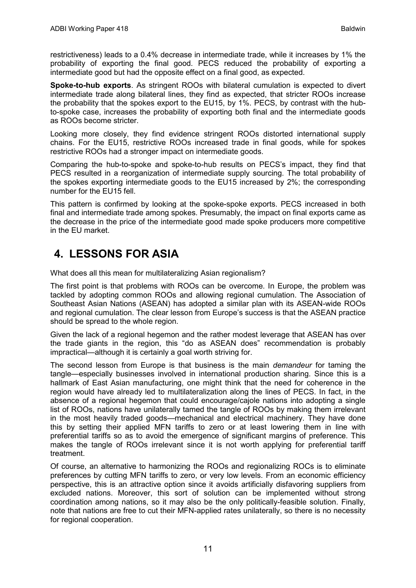restrictiveness) leads to a 0.4% decrease in intermediate trade, while it increases by 1% the probability of exporting the final good. PECS reduced the probability of exporting a intermediate good but had the opposite effect on a final good, as expected.

**Spoke-to-hub exports**. As stringent ROOs with bilateral cumulation is expected to divert intermediate trade along bilateral lines, they find as expected, that stricter ROOs increase the probability that the spokes export to the EU15, by 1%. PECS, by contrast with the hubto-spoke case, increases the probability of exporting both final and the intermediate goods as ROOs become stricter.

Looking more closely, they find evidence stringent ROOs distorted international supply chains. For the EU15, restrictive ROOs increased trade in final goods, while for spokes restrictive ROOs had a stronger impact on intermediate goods.

Comparing the hub-to-spoke and spoke-to-hub results on PECS's impact, they find that PECS resulted in a reorganization of intermediate supply sourcing. The total probability of the spokes exporting intermediate goods to the EU15 increased by 2%; the corresponding number for the EU15 fell.

<span id="page-12-0"></span>This pattern is confirmed by looking at the spoke-spoke exports. PECS increased in both final and intermediate trade among spokes. Presumably, the impact on final exports came as the decrease in the price of the intermediate good made spoke producers more competitive in the EU market.

# **4. LESSONS FOR ASIA**

What does all this mean for multilateralizing Asian regionalism?

The first point is that problems with ROOs can be overcome. In Europe, the problem was tackled by adopting common ROOs and allowing regional cumulation. The Association of Southeast Asian Nations (ASEAN) has adopted a similar plan with its ASEAN-wide ROOs and regional cumulation. The clear lesson from Europe's success is that the ASEAN practice should be spread to the whole region.

Given the lack of a regional hegemon and the rather modest leverage that ASEAN has over the trade giants in the region, this "do as ASEAN does" recommendation is probably impractical—although it is certainly a goal worth striving for.

The second lesson from Europe is that business is the main *demandeur* for taming the tangle—especially businesses involved in international production sharing. Since this is a hallmark of East Asian manufacturing, one might think that the need for coherence in the region would have already led to multilateralization along the lines of PECS. In fact, in the absence of a regional hegemon that could encourage/cajole nations into adopting a single list of ROOs, nations have unilaterally tamed the tangle of ROOs by making them irrelevant in the most heavily traded goods—mechanical and electrical machinery. They have done this by setting their applied MFN tariffs to zero or at least lowering them in line with preferential tariffs so as to avoid the emergence of significant margins of preference. This makes the tangle of ROOs irrelevant since it is not worth applying for preferential tariff treatment.

Of course, an alternative to harmonizing the ROOs and regionalizing ROCs is to eliminate preferences by cutting MFN tariffs to zero, or very low levels. From an economic efficiency perspective, this is an attractive option since it avoids artificially disfavoring suppliers from excluded nations. Moreover, this sort of solution can be implemented without strong coordination among nations, so it may also be the only politically-feasible solution. Finally, note that nations are free to cut their MFN-applied rates unilaterally, so there is no necessity for regional cooperation.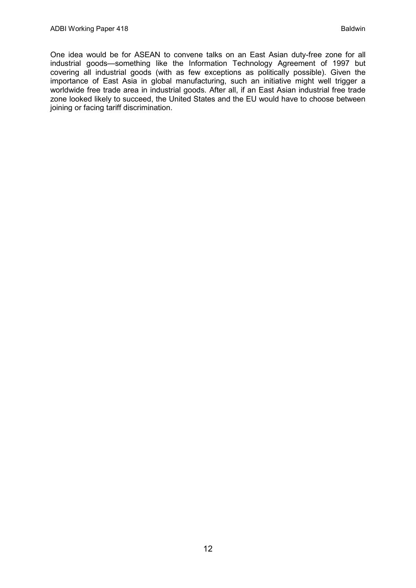One idea would be for ASEAN to convene talks on an East Asian duty-free zone for all industrial goods—something like the Information Technology Agreement of 1997 but covering all industrial goods (with as few exceptions as politically possible). Given the importance of East Asia in global manufacturing, such an initiative might well trigger a worldwide free trade area in industrial goods. After all, if an East Asian industrial free trade zone looked likely to succeed, the United States and the EU would have to choose between joining or facing tariff discrimination.